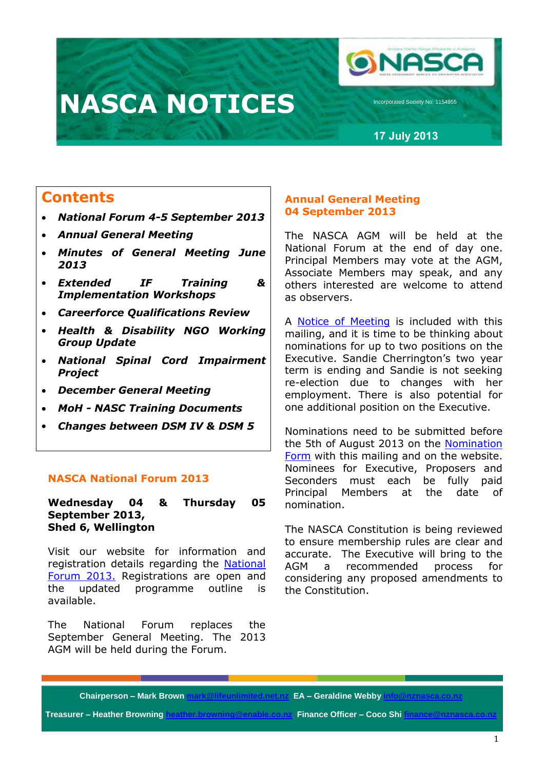# **NASCA NOTICES**

**26 September 2021226 September 20212**

**17 July 2013**

**ONASCI** 

Icorporated Society No: 1154955

## **Contents**

- *National Forum 4-5 September 2013*
- *Annual General Meeting*
- *Minutes of General Meeting June 2013*
- *Extended IF Training & Implementation Workshops*
- *Careerforce Qualifications Review*
- *Health & Disability NGO Working Group Update*
- *National Spinal Cord Impairment Project*
- *December General Meeting*
- *MoH - NASC Training Documents*
- *Changes between DSM IV & DSM 5*

### **NASCA National Forum 2013**

**Wednesday 04 & Thursday 05 September 2013, Shed 6, Wellington**

Visit our website for information and registration details regarding the [National](http://www.nznasca.co.nz/membership/news/national-forum-2013/)  [Forum 2013.](http://www.nznasca.co.nz/membership/news/national-forum-2013/) Registrations are open and the updated programme outline is available.

The National Forum replaces the September General Meeting. The 2013 AGM will be held during the Forum.

### **Annual General Meeting 04 September 2013**

The NASCA AGM will be held at the National Forum at the end of day one. Principal Members may vote at the AGM, Associate Members may speak, and any others interested are welcome to attend as observers.

A Notice [of Meeting](http://www.nznasca.co.nz/?wpdmdl=159) is included with this mailing, and it is time to be thinking about nominations for up to two positions on the Executive. Sandie Cherrington's two year term is ending and Sandie is not seeking re-election due to changes with her employment. There is also potential for one additional position on the Executive.

Nominations need to be submitted before the 5th of August 2013 on the [Nomination](http://www.nznasca.co.nz/?wpdmdl=160)  [Form](http://www.nznasca.co.nz/?wpdmdl=160) with this mailing and on the website. Nominees for Executive, Proposers and Seconders must each be fully paid Principal Members at the date of nomination.

The NASCA Constitution is being reviewed to ensure membership rules are clear and accurate. The Executive will bring to the AGM a recommended process for considering any proposed amendments to the Constitution.

**Chairperson – Mark Brown mark@lifeunlimited.net.nz EA – Geraldine Webby i** 

**Treasurer – Heather Browning heather.browning@enable.co.nz Finance Officer – Coco Shi finance**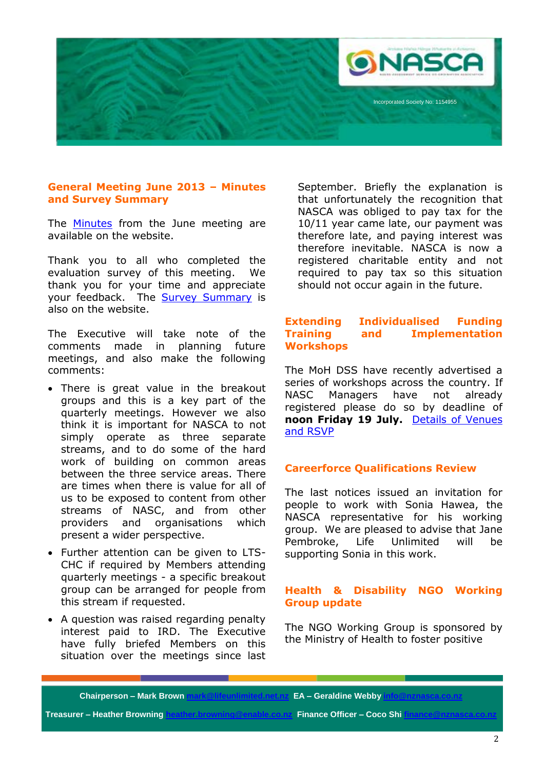

### **General Meeting June 2013 – Minutes and Survey Summary**

The **[Minutes](http://www.nznasca.co.nz/?wpdmdl=146)** from the June meeting are available on the website.

Thank you to all who completed the evaluation survey of this meeting. We thank you for your time and appreciate your feedback. The **Survey Summary** is also on the website.

The Executive will take note of the comments made in planning future meetings, and also make the following comments:

- There is great value in the breakout groups and this is a key part of the quarterly meetings. However we also think it is important for NASCA to not simply operate as three separate streams, and to do some of the hard work of building on common areas between the three service areas. There are times when there is value for all of us to be exposed to content from other streams of NASC, and from other providers and organisations which present a wider perspective.
- Further attention can be given to LTS-CHC if required by Members attending quarterly meetings - a specific breakout group can be arranged for people from this stream if requested.
- A question was raised regarding penalty interest paid to IRD. The Executive have fully briefed Members on this situation over the meetings since last

September. Briefly the explanation is that unfortunately the recognition that NASCA was obliged to pay tax for the 10/11 year came late, our payment was therefore late, and paying interest was therefore inevitable. NASCA is now a registered charitable entity and not required to pay tax so this situation should not occur again in the future.

### **Extending Individualised Funding Training and Implementation Workshops**

The MoH DSS have recently advertised a series of workshops across the country. If NASC Managers have not already registered please do so by deadline of **noon Friday 19 July.** [Details of Venues](http://www.nznasca.co.nz/?wpdmdl=161)  [and RSVP](http://www.nznasca.co.nz/?wpdmdl=161)

### **Careerforce Qualifications Review**

The last notices issued an invitation for people to work with Sonia Hawea, the NASCA representative for his working group. We are pleased to advise that Jane Pembroke, Life Unlimited will be supporting Sonia in this work.

### **Health & Disability NGO Working Group update**

The NGO Working Group is sponsored by the Ministry of Health to foster positive

### **Chairperson – Mark Brown mark@lifeunlimited.net.nz EA – Geraldine Webby in**

**Treasurer – Heather Browning heather.browning@enable.co.nz Finance Officer – Coco Shi fina**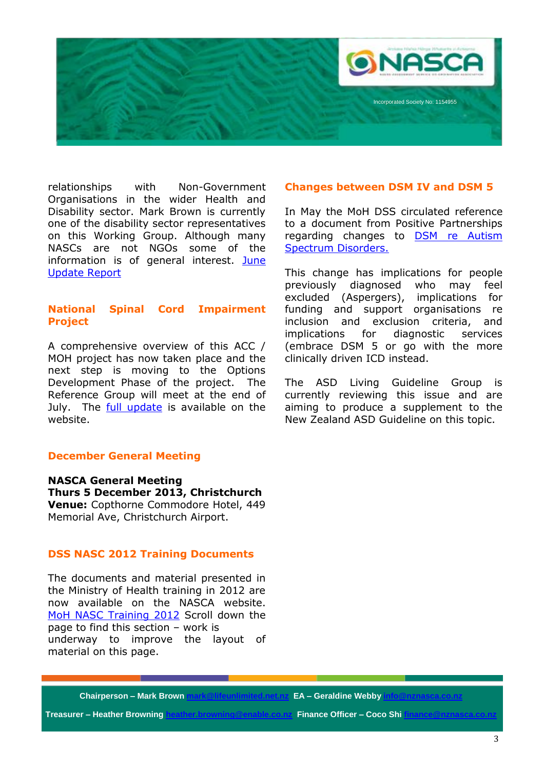

relationships with Non-Government Organisations in the wider Health and Disability sector. Mark Brown is currently one of the disability sector representatives on this Working Group. Although many NASCs are not NGOs some of the information is of general interest. [June](http://www.nznasca.co.nz/?wpdmdl=162)  [Update Report](http://www.nznasca.co.nz/?wpdmdl=162)

### **National Spinal Cord Impairment Project**

A comprehensive overview of this ACC / MOH project has now taken place and the next step is moving to the Options Development Phase of the project. The Reference Group will meet at the end of July. The [full update](http://www.nznasca.co.nz/?wpdmdl=152) is available on the website.

### **December General Meeting**

**NASCA General Meeting Thurs 5 December 2013, Christchurch Venue:** Copthorne Commodore Hotel, 449 Memorial Ave, Christchurch Airport.

### **DSS NASC 2012 Training Documents**

The documents and material presented in the Ministry of Health training in 2012 are now available on the NASCA website. [MoH NASC Training 2012](http://www.nznasca.co.nz/membership/member-reference-and-documents/younger-peoples-service-documents/) Scroll down the page to find this section – work is underway to improve the layout of material on this page.

### **Changes between DSM IV and DSM 5**

In May the MoH DSS circulated reference to a document from Positive Partnerships regarding changes to **DSM** re Autism [Spectrum Disorders.](http://www.positivepartnerships.com.au/orionfiles/upload/public/files/Fact%20Sheet%2010_DSM-5_04_07_12.pdf)

This change has implications for people previously diagnosed who may feel excluded (Aspergers), implications for funding and support organisations re inclusion and exclusion criteria, and implications for diagnostic services (embrace DSM 5 or go with the more clinically driven ICD instead.

The ASD Living Guideline Group is currently reviewing this issue and are aiming to produce a supplement to the New Zealand ASD Guideline on this topic.

**Chairperson – Mark Brown mark@lifeunlimited.net.nz EA – Geraldine Webby i** 

**Treasurer – Heather Browning heather.browning@enable.co.nz Finance Officer – Coco Shi finance**